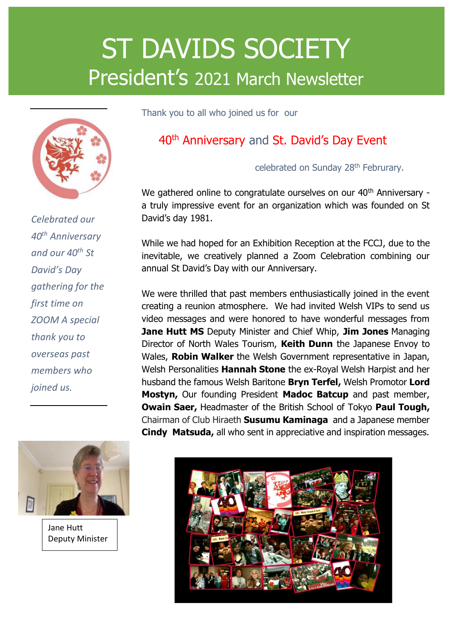# ST DAVIDS SOCIETY President's 2021 March Newsletter



*Celebrated our 40th Anniversary and our 40th St David's Day gathering for the first time on ZOOM A special thank you to overseas past members who joined us.* 



Jane Hutt Deputy Minister Thank you to all who joined us for our

### 40<sup>th</sup> Anniversary and St. David's Day Event

celebrated on Sunday 28<sup>th</sup> Februrary.

We gathered online to congratulate ourselves on our 40<sup>th</sup> Anniversary a truly impressive event for an organization which was founded on St David's day 1981.

While we had hoped for an Exhibition Reception at the FCCJ, due to the inevitable, we creatively planned a Zoom Celebration combining our annual St David's Day with our Anniversary.

We were thrilled that past members enthusiastically joined in the event creating a reunion atmosphere. We had invited Welsh VIPs to send us video messages and were honored to have wonderful messages from **Jane Hutt MS** Deputy Minister and Chief Whip, **Jim Jones** Managing Director of North Wales Tourism, **Keith Dunn** the Japanese Envoy to Wales, **Robin Walker** the Welsh Government representative in Japan, Welsh Personalities **Hannah Stone** the ex-Royal Welsh Harpist and her husband the famous Welsh Baritone **Bryn Terfel,** Welsh Promotor **Lord Mostyn,** Our founding President **Madoc Batcup** and past member, **Owain Saer,** Headmaster of the British School of Tokyo **Paul Tough,** Chairman of Club Hiraeth **Susumu Kaminaga** and a Japanese member **Cindy Matsuda,** all who sent in appreciative and inspiration messages.

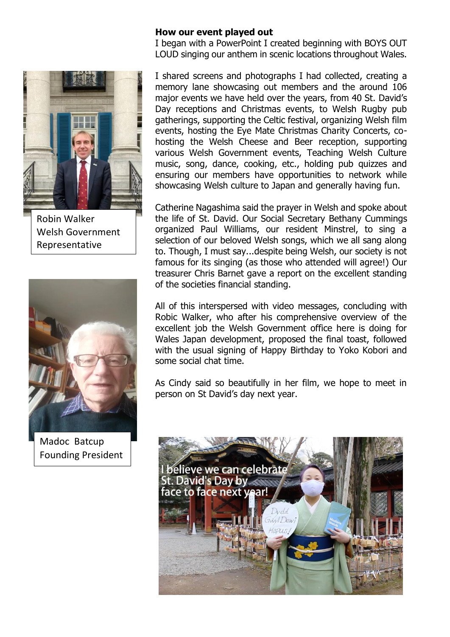#### **How our event played out**

I began with a PowerPoint I created beginning with BOYS OUT LOUD singing our anthem in scenic locations throughout Wales.



Robin Walker Welsh Government Representative



Madoc Batcup Founding President

I shared screens and photographs I had collected, creating a memory lane showcasing out members and the around 106 major events we have held over the years, from 40 St. David's Day receptions and Christmas events, to Welsh Rugby pub gatherings, supporting the Celtic festival, organizing Welsh film events, hosting the Eye Mate Christmas Charity Concerts, cohosting the Welsh Cheese and Beer reception, supporting various Welsh Government events, Teaching Welsh Culture music, song, dance, cooking, etc., holding pub quizzes and ensuring our members have opportunities to network while showcasing Welsh culture to Japan and generally having fun.

Catherine Nagashima said the prayer in Welsh and spoke about the life of St. David. Our Social Secretary Bethany Cummings organized Paul Williams, our resident Minstrel, to sing a selection of our beloved Welsh songs, which we all sang along to. Though, I must say...despite being Welsh, our society is not famous for its singing (as those who attended will agree!) Our treasurer Chris Barnet gave a report on the excellent standing of the societies financial standing.

All of this interspersed with video messages, concluding with Robic Walker, who after his comprehensive overview of the excellent job the Welsh Government office here is doing for Wales Japan development, proposed the final toast, followed with the usual signing of Happy Birthday to Yoko Kobori and some social chat time.

As Cindy said so beautifully in her film, we hope to meet in person on St David's day next year.

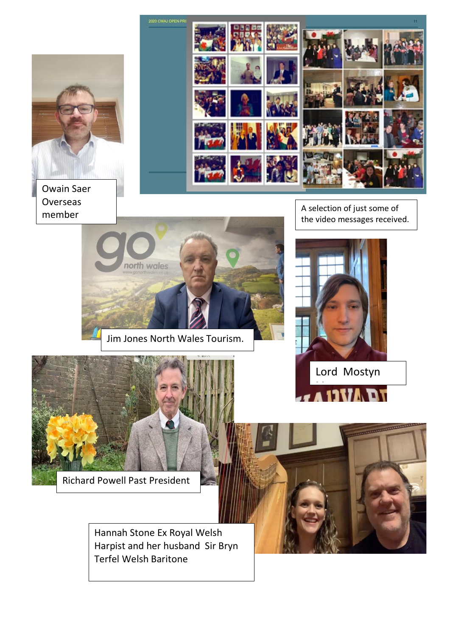

Owain Saer **Overseas** member

A selection of just some of the video messages received.



Mostyn



north wales

Richard Powell Past President

Hannah Stone Ex Royal Welsh Harpist and her husband Sir Bryn Terfel Welsh Baritone

Jim Jones North Wales Tourism.